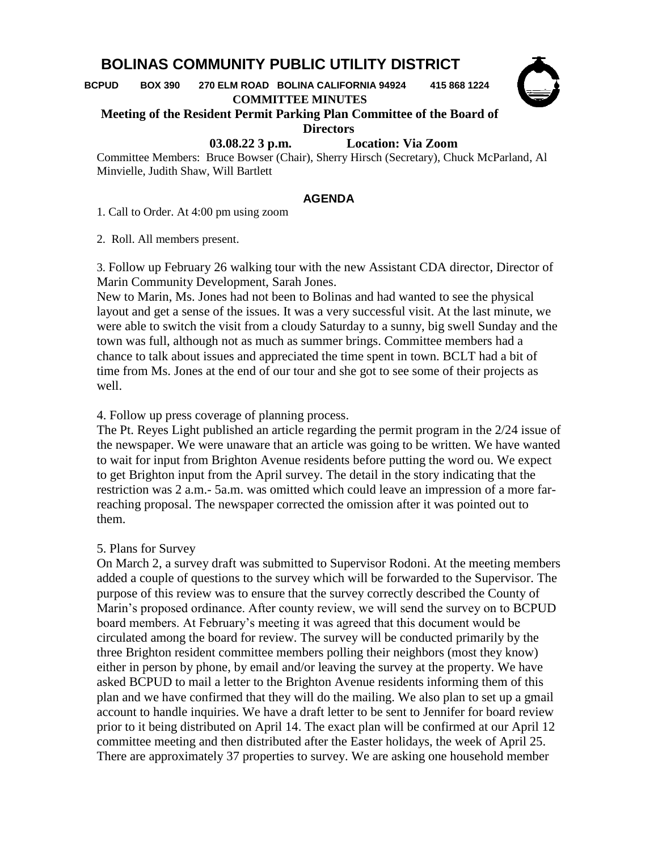## **BOLINAS COMMUNITY PUBLIC UTILITY DISTRICT**

 **BCPUD BOX 390 270 ELM ROAD BOLINA CALIFORNIA 94924 415 868 1224**

**COMMITTEE MINUTES**



## **Meeting of the Resident Permit Parking Plan Committee of the Board of Directors**

 **03.08.22 3 p.m. Location: Via Zoom**

Committee Members: Bruce Bowser (Chair), Sherry Hirsch (Secretary), Chuck McParland, Al Minvielle, Judith Shaw, Will Bartlett

## **AGENDA**

1. Call to Order. At 4:00 pm using zoom

2. Roll. All members present.

3. Follow up February 26 walking tour with the new Assistant CDA director, Director of Marin Community Development, Sarah Jones.

New to Marin, Ms. Jones had not been to Bolinas and had wanted to see the physical layout and get a sense of the issues. It was a very successful visit. At the last minute, we were able to switch the visit from a cloudy Saturday to a sunny, big swell Sunday and the town was full, although not as much as summer brings. Committee members had a chance to talk about issues and appreciated the time spent in town. BCLT had a bit of time from Ms. Jones at the end of our tour and she got to see some of their projects as well.

4. Follow up press coverage of planning process.

The Pt. Reyes Light published an article regarding the permit program in the 2/24 issue of the newspaper. We were unaware that an article was going to be written. We have wanted to wait for input from Brighton Avenue residents before putting the word ou. We expect to get Brighton input from the April survey. The detail in the story indicating that the restriction was 2 a.m.- 5a.m. was omitted which could leave an impression of a more farreaching proposal. The newspaper corrected the omission after it was pointed out to them.

## 5. Plans for Survey

On March 2, a survey draft was submitted to Supervisor Rodoni. At the meeting members added a couple of questions to the survey which will be forwarded to the Supervisor. The purpose of this review was to ensure that the survey correctly described the County of Marin's proposed ordinance. After county review, we will send the survey on to BCPUD board members. At February's meeting it was agreed that this document would be circulated among the board for review. The survey will be conducted primarily by the three Brighton resident committee members polling their neighbors (most they know) either in person by phone, by email and/or leaving the survey at the property. We have asked BCPUD to mail a letter to the Brighton Avenue residents informing them of this plan and we have confirmed that they will do the mailing. We also plan to set up a gmail account to handle inquiries. We have a draft letter to be sent to Jennifer for board review prior to it being distributed on April 14. The exact plan will be confirmed at our April 12 committee meeting and then distributed after the Easter holidays, the week of April 25. There are approximately 37 properties to survey. We are asking one household member